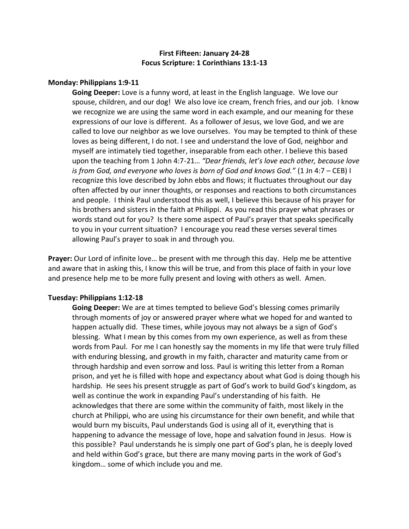# **First Fifteen: January 24-28 Focus Scripture: 1 Corinthians 13:1-13**

#### **Monday: Philippians 1:9-11**

**Going Deeper:** Love is a funny word, at least in the English language. We love our spouse, children, and our dog! We also love ice cream, french fries, and our job. I know we recognize we are using the same word in each example, and our meaning for these expressions of our love is different. As a follower of Jesus, we love God, and we are called to love our neighbor as we love ourselves. You may be tempted to think of these loves as being different, I do not. I see and understand the love of God, neighbor and myself are intimately tied together, inseparable from each other. I believe this based upon the teaching from 1 John 4:7-21… *"Dear friends, let's love each other, because love is from God, and everyone who loves is born of God and knows God."* (1 Jn 4:7 – CEB) I recognize this love described by John ebbs and flows; it fluctuates throughout our day often affected by our inner thoughts, or responses and reactions to both circumstances and people. I think Paul understood this as well, I believe this because of his prayer for his brothers and sisters in the faith at Philippi. As you read this prayer what phrases or words stand out for you? Is there some aspect of Paul's prayer that speaks specifically to you in your current situation? I encourage you read these verses several times allowing Paul's prayer to soak in and through you.

**Prayer:** Our Lord of infinite love… be present with me through this day. Help me be attentive and aware that in asking this, I know this will be true, and from this place of faith in your love and presence help me to be more fully present and loving with others as well. Amen.

#### **Tuesday: Philippians 1:12-18**

**Going Deeper:** We are at times tempted to believe God's blessing comes primarily through moments of joy or answered prayer where what we hoped for and wanted to happen actually did. These times, while joyous may not always be a sign of God's blessing. What I mean by this comes from my own experience, as well as from these words from Paul. For me I can honestly say the moments in my life that were truly filled with enduring blessing, and growth in my faith, character and maturity came from or through hardship and even sorrow and loss. Paul is writing this letter from a Roman prison, and yet he is filled with hope and expectancy about what God is doing though his hardship. He sees his present struggle as part of God's work to build God's kingdom, as well as continue the work in expanding Paul's understanding of his faith. He acknowledges that there are some within the community of faith, most likely in the church at Philippi, who are using his circumstance for their own benefit, and while that would burn my biscuits, Paul understands God is using all of it, everything that is happening to advance the message of love, hope and salvation found in Jesus. How is this possible? Paul understands he is simply one part of God's plan, he is deeply loved and held within God's grace, but there are many moving parts in the work of God's kingdom… some of which include you and me.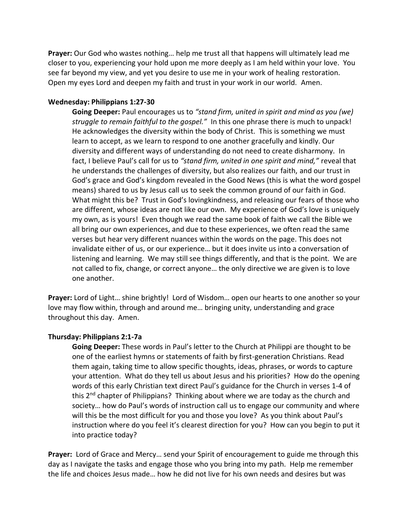**Prayer:** Our God who wastes nothing… help me trust all that happens will ultimately lead me closer to you, experiencing your hold upon me more deeply as I am held within your love. You see far beyond my view, and yet you desire to use me in your work of healing restoration. Open my eyes Lord and deepen my faith and trust in your work in our world. Amen.

#### **Wednesday: Philippians 1:27-30**

**Going Deeper:** Paul encourages us to *"stand firm, united in spirit and mind as you (we) struggle to remain faithful to the gospel."* In this one phrase there is much to unpack! He acknowledges the diversity within the body of Christ. This is something we must learn to accept, as we learn to respond to one another gracefully and kindly. Our diversity and different ways of understanding do not need to create disharmony. In fact, I believe Paul's call for us to *"stand firm, united in one spirit and mind,"* reveal that he understands the challenges of diversity, but also realizes our faith, and our trust in God's grace and God's kingdom revealed in the Good News (this is what the word gospel means) shared to us by Jesus call us to seek the common ground of our faith in God. What might this be? Trust in God's lovingkindness, and releasing our fears of those who are different, whose ideas are not like our own. My experience of God's love is uniquely my own, as is yours! Even though we read the same book of faith we call the Bible we all bring our own experiences, and due to these experiences, we often read the same verses but hear very different nuances within the words on the page. This does not invalidate either of us, or our experience… but it does invite us into a conversation of listening and learning. We may still see things differently, and that is the point. We are not called to fix, change, or correct anyone… the only directive we are given is to love one another.

**Prayer:** Lord of Light… shine brightly! Lord of Wisdom… open our hearts to one another so your love may flow within, through and around me… bringing unity, understanding and grace throughout this day. Amen.

## **Thursday: Philippians 2:1-7a**

**Going Deeper:** These words in Paul's letter to the Church at Philippi are thought to be one of the earliest hymns or statements of faith by first-generation Christians. Read them again, taking time to allow specific thoughts, ideas, phrases, or words to capture your attention. What do they tell us about Jesus and his priorities? How do the opening words of this early Christian text direct Paul's guidance for the Church in verses 1-4 of this 2<sup>nd</sup> chapter of Philippians? Thinking about where we are today as the church and society… how do Paul's words of instruction call us to engage our community and where will this be the most difficult for you and those you love? As you think about Paul's instruction where do you feel it's clearest direction for you? How can you begin to put it into practice today?

**Prayer:** Lord of Grace and Mercy… send your Spirit of encouragement to guide me through this day as I navigate the tasks and engage those who you bring into my path. Help me remember the life and choices Jesus made… how he did not live for his own needs and desires but was